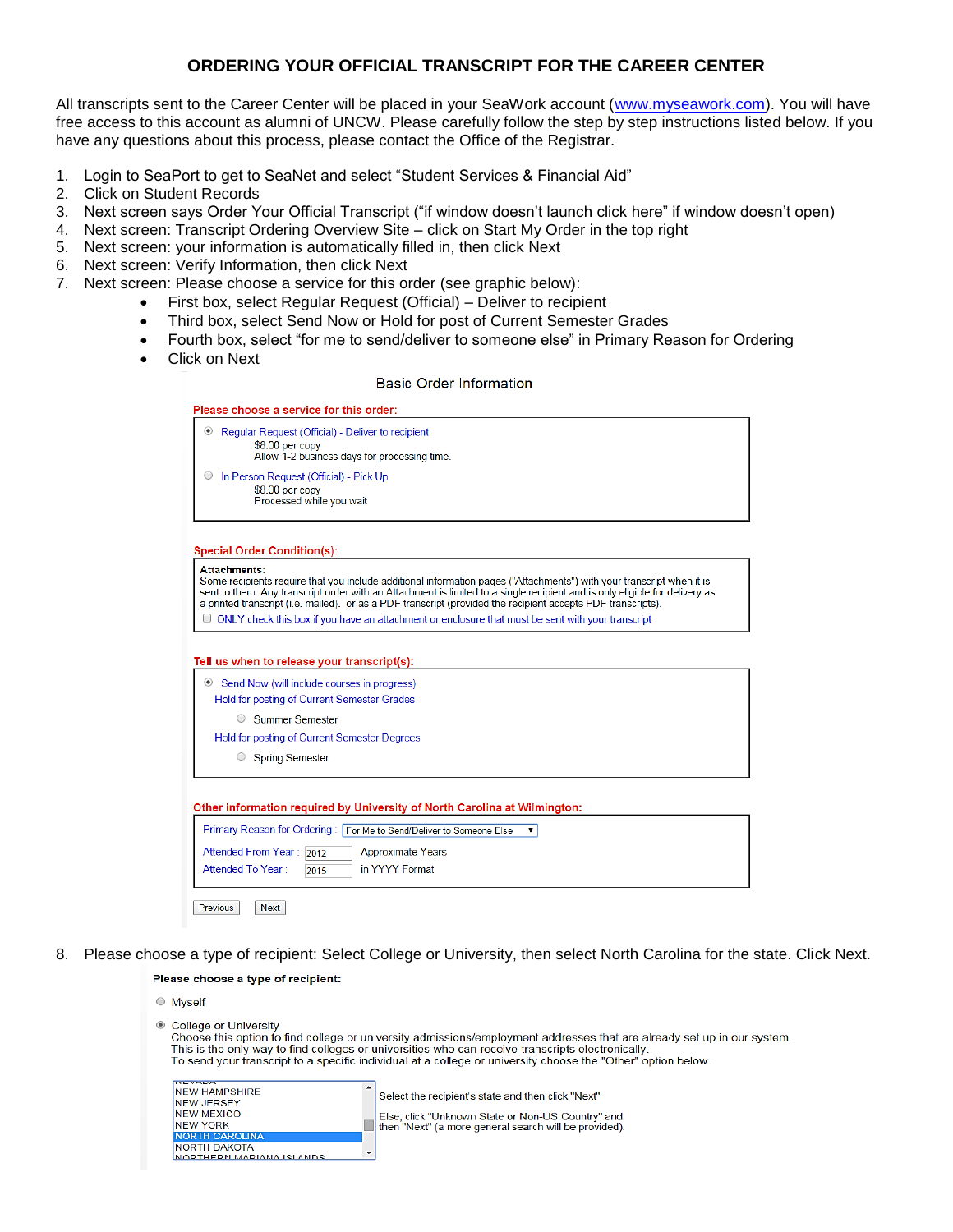# **ORDERING YOUR OFFICIAL TRANSCRIPT FOR THE CAREER CENTER**

All transcripts sent to the Career Center will be placed in your SeaWork account [\(www.myseawork.com\)](http://www.myseawork.com/). You will have free access to this account as alumni of UNCW. Please carefully follow the step by step instructions listed below. If you have any questions about this process, please contact the Office of the Registrar.

- 1. Login to SeaPort to get to SeaNet and select "Student Services & Financial Aid"
- 2. Click on Student Records
- 3. Next screen says Order Your Official Transcript ("if window doesn't launch click here" if window doesn't open)
- 4. Next screen: Transcript Ordering Overview Site click on Start My Order in the top right
- 5. Next screen: your information is automatically filled in, then click Next
- 6. Next screen: Verify Information, then click Next
- 7. Next screen: Please choose a service for this order (see graphic below):
	- First box, select Regular Request (Official) Deliver to recipient
	- Third box, select Send Now or Hold for post of Current Semester Grades
	- Fourth box, select "for me to send/deliver to someone else" in Primary Reason for Ordering
	- Click on Next

**Basic Order Information** 

| <sup>®</sup> Regular Request (Official) - Deliver to recipient |  |
|----------------------------------------------------------------|--|
| $$8.00$ per copy                                               |  |
| Allow 1-2 business days for processing time.                   |  |
| In Person Request (Official) - Pick Up                         |  |
| $$8.00$ per copy                                               |  |
| Processed while you wait                                       |  |

#### **Special Order Condition(s):**

Previous

**NEW YORK NORTH CAROLINA NORTH DAKOTA** 

<u>NODTHEDN MADIANA ISLANDS</u>

Next

| Some recipients require that you include additional information pages ("Attachments") with your transcript when it is<br>sent to them. Any transcript order with an Attachment is limited to a single recipient and is only eligible for delivery as<br>a printed transcript (i.e. mailed), or as a PDF transcript (provided the recipient accepts PDF transcripts).<br>$\Box$ ONLY check this box if you have an attachment or enclosure that must be sent with your transcript |
|----------------------------------------------------------------------------------------------------------------------------------------------------------------------------------------------------------------------------------------------------------------------------------------------------------------------------------------------------------------------------------------------------------------------------------------------------------------------------------|
|----------------------------------------------------------------------------------------------------------------------------------------------------------------------------------------------------------------------------------------------------------------------------------------------------------------------------------------------------------------------------------------------------------------------------------------------------------------------------------|

#### Tell us when to release your transcript(s):

| Send Now (will include courses in progress)  |  |  |  |  |
|----------------------------------------------|--|--|--|--|
| Hold for posting of Current Semester Grades  |  |  |  |  |
| <b>Summer Semester</b><br>$\bigcirc$         |  |  |  |  |
| Hold for posting of Current Semester Degrees |  |  |  |  |
| <b>Spring Semester</b><br>0                  |  |  |  |  |

Other information required by University of North Carolina at Wilmington:

| Primary Reason for Ordering: For Me to Send/Deliver to Someone Else |
|---------------------------------------------------------------------|
| Attended From Year: 2012<br><b>Approximate Years</b>                |
| in YYYY Format<br>Attended To Year:<br>2015                         |
|                                                                     |

8. Please choose a type of recipient: Select College or University, then select North Carolina for the state. Click Next.Please choose a type of recipient:

| $\circ$ Myself                                                                                                                                                                                                                                                                                                                                                          |                                                                                                                                                                 |  |  |  |
|-------------------------------------------------------------------------------------------------------------------------------------------------------------------------------------------------------------------------------------------------------------------------------------------------------------------------------------------------------------------------|-----------------------------------------------------------------------------------------------------------------------------------------------------------------|--|--|--|
| ● College or University<br>Choose this option to find college or university admissions/employment addresses that are already set up in our system.<br>This is the only way to find colleges or universities who can receive transcripts electronically.<br>To send your transcript to a specific individual at a college or university choose the "Other" option below. |                                                                                                                                                                 |  |  |  |
| <b>TYL YAUA</b><br><b>NEW HAMPSHIRE</b><br><b>INEW JERSEY</b><br><b>NEW MEXICO</b><br>INEW YORK                                                                                                                                                                                                                                                                         | Select the recipient's state and then click "Next"<br>Else, click "Unknown State or Non-US Country" and<br>then "Next" (a more general search will be provided) |  |  |  |

| lse, click "Unknown State or Non-US Country" and   |  |  |  |
|----------------------------------------------------|--|--|--|
| en "Next" (a more general search will be provided) |  |  |  |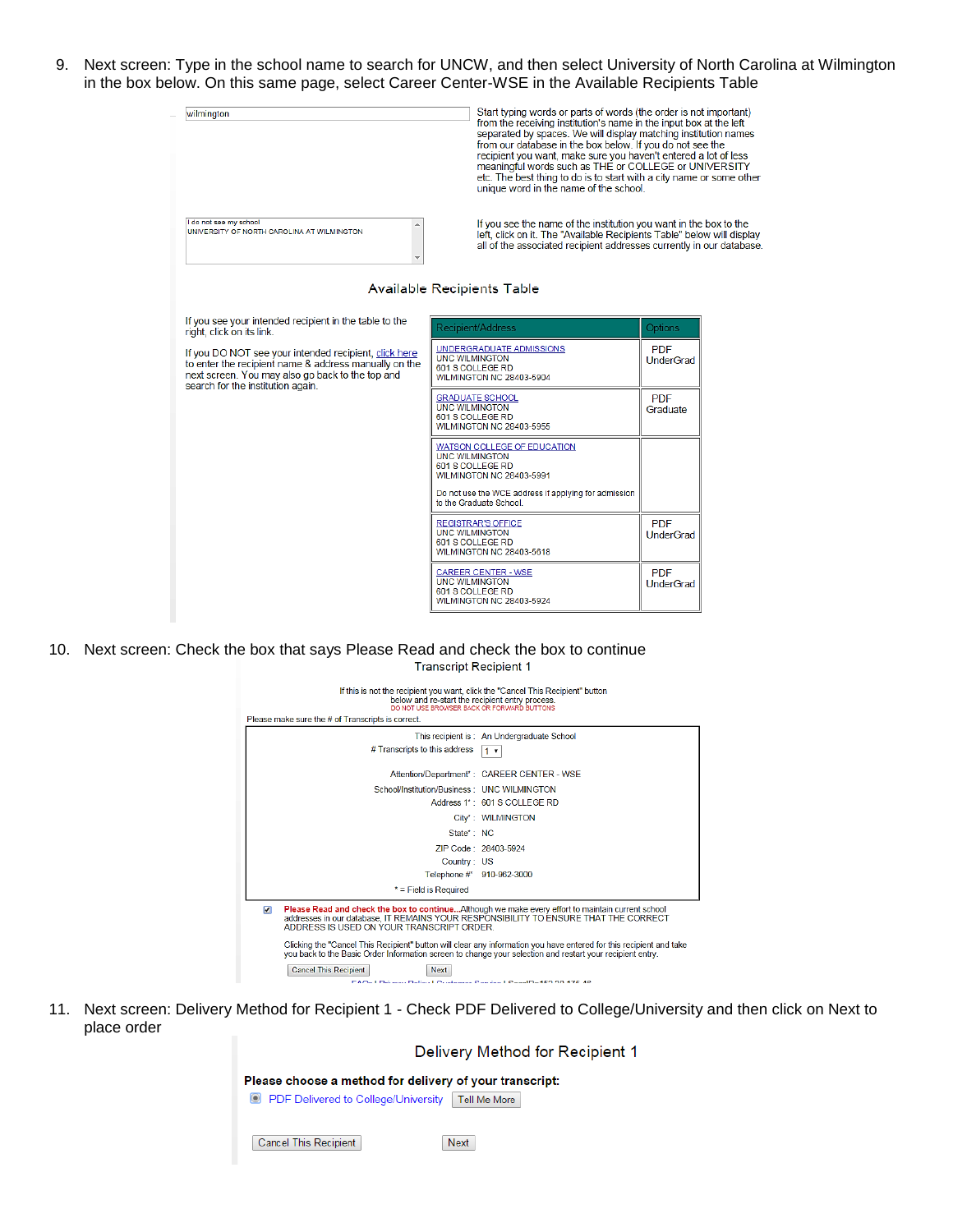9. Next screen: Type in the school name to search for UNCW, and then select University of North Carolina at Wilmington in the box below. On this same page, select Career Center-WSE in the Available Recipients Table



10. Next screen: Check the box that says Please Read and check the box to continue **Transcript Recipient 1** 



11. Next screen: Delivery Method for Recipient 1 - Check PDF Delivered to College/University and then click on Next to place order

> Delivery Method for Recipient 1 Please choose a method for delivery of your transcript: O PDF Delivered to College/University Tell Me More Cancel This Recipient Next